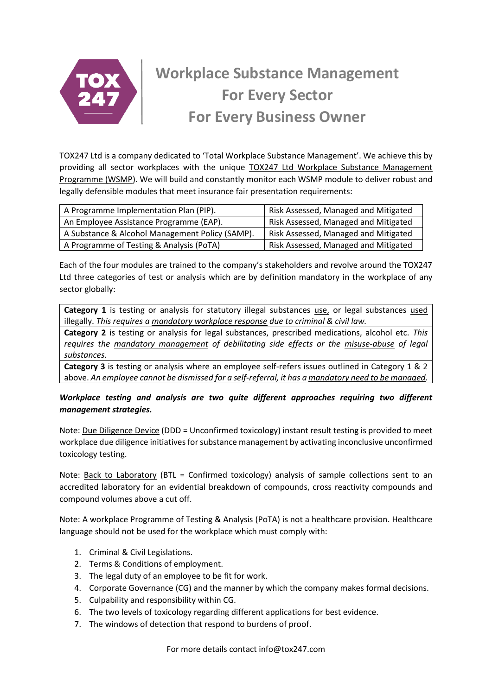

# **Workplace Substance Management For Every Sector For Every Business Owner**

TOX247 Ltd is a company dedicated to 'Total Workplace Substance Management'. We achieve this by providing all sector workplaces with the unique TOX247 Ltd Workplace Substance Management Programme (WSMP). We will build and constantly monitor each WSMP module to deliver robust and legally defensible modules that meet insurance fair presentation requirements:

| A Programme Implementation Plan (PIP).          | Risk Assessed, Managed and Mitigated |
|-------------------------------------------------|--------------------------------------|
| An Employee Assistance Programme (EAP).         | Risk Assessed, Managed and Mitigated |
| A Substance & Alcohol Management Policy (SAMP). | Risk Assessed, Managed and Mitigated |
| A Programme of Testing & Analysis (PoTA)        | Risk Assessed, Managed and Mitigated |

Each of the four modules are trained to the company's stakeholders and revolve around the TOX247 Ltd three categories of test or analysis which are by definition mandatory in the workplace of any sector globally:

**Category 1** is testing or analysis for statutory illegal substances use, or legal substances used illegally. *This requires a mandatory workplace response due to criminal & civil law.* 

**Category 2** is testing or analysis for legal substances, prescribed medications, alcohol etc. *This requires the mandatory management of debilitating side effects or the misuse-abuse of legal substances.*

**Category 3** is testing or analysis where an employee self-refers issues outlined in Category 1 & 2 above. *An employee cannot be dismissed for a self-referral, it has a mandatory need to be managed.*

## *Workplace testing and analysis are two quite different approaches requiring two different management strategies.*

Note: Due Diligence Device (DDD = Unconfirmed toxicology) instant result testing is provided to meet workplace due diligence initiatives for substance management by activating inconclusive unconfirmed toxicology testing.

Note: Back to Laboratory (BTL = Confirmed toxicology) analysis of sample collections sent to an accredited laboratory for an evidential breakdown of compounds, cross reactivity compounds and compound volumes above a cut off.

Note: A workplace Programme of Testing & Analysis (PoTA) is not a healthcare provision. Healthcare language should not be used for the workplace which must comply with:

- 1. Criminal & Civil Legislations.
- 2. Terms & Conditions of employment.
- 3. The legal duty of an employee to be fit for work.
- 4. Corporate Governance (CG) and the manner by which the company makes formal decisions.
- 5. Culpability and responsibility within CG.
- 6. The two levels of toxicology regarding different applications for best evidence.
- 7. The windows of detection that respond to burdens of proof.